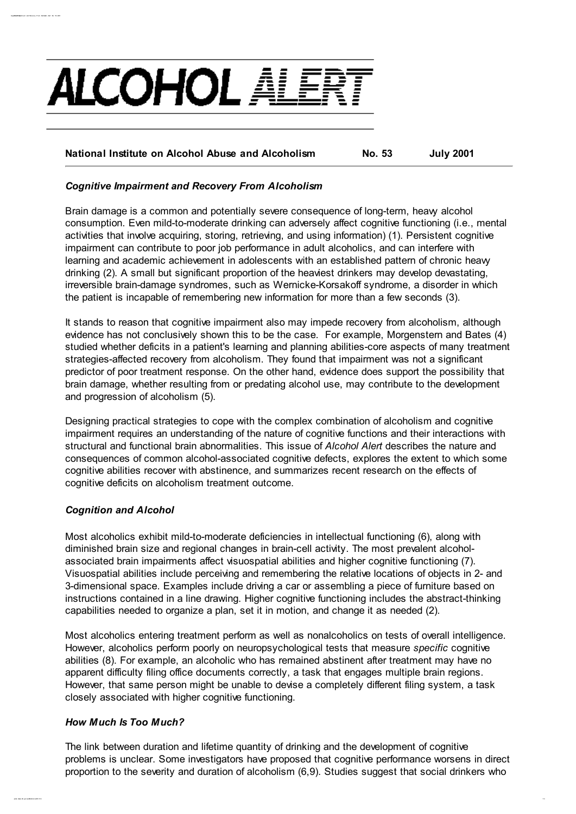

## National Institute on Alcohol Abuse and Alcoholism No. 53 July 2001

#### Cognitive Impairment and Recovery From Alcoholism

Brain damage is a common and potentially severe consequence of long-term, heavy alcohol consumption. Even mild-to-moderate drinking can adversely affect cognitive functioning (i.e., mental activities that involve acquiring, storing, retrieving, and using information) (1). Persistent cognitive impairment can contribute to poor job performance in adult alcoholics, and can interfere with learning and academic achievement in adolescents with an established pattern of chronic heavy drinking (2). A small but significant proportion of the heaviest drinkers may develop devastating, irreversible brain-damage syndromes, such as Wernicke-Korsakoff syndrome, a disorder in which the patient is incapable of remembering new information for more than a few seconds (3).

It stands to reason that cognitive impairment also may impede recovery from alcoholism, although evidence has not conclusively shown this to be the case. For example, Morgenstern and Bates (4) studied whether deficits in a patient's learning and planning abilities-core aspects of many treatment strategies-affected recovery from alcoholism. They found that impairment was not a significant predictor of poor treatment response. On the other hand, evidence does support the possibility that brain damage, whether resulting from or predating alcohol use, may contribute to the development and progression of alcoholism (5).

Designing practical strategies to cope with the complex combination of alcoholism and cognitive impairment requires an understanding of the nature of cognitive functions and their interactions with structural and functional brain abnormalities. This issue of Alcohol Alert describes the nature and consequences of common alcohol-associated cognitive defects, explores the extent to which some cognitive abilities recover with abstinence, and summarizes recent research on the effects of cognitive deficits on alcoholism treatment outcome.

### Cognition and Alcohol

Cognitionships meet and Recovery From Alcoholism Alert No: 53-2001

Most alcoholics exhibit mild-to-moderate deficiencies in intellectual functioning (6), along with diminished brain size and regional changes in brain-cell activity. The most prevalent alcoholassociated brain impairments affect visuospatial abilities and higher cognitive functioning (7). Visuospatial abilities include perceiving and remembering the relative locations of objects in 2- and 3-dimensional space. Examples include driving a car or assembling a piece of furniture based on instructions contained in a line drawing. Higher cognitive functioning includes the abstract-thinking capabilities needed to organize a plan, set it in motion, and change it as needed (2).

Most alcoholics entering treatment perform as well as nonalcoholics on tests of overall intelligence. However, alcoholics perform poorly on neuropsychological tests that measure specific cognitive abilities (8). For example, an alcoholic who has remained abstinent after treatment may have no apparent difficulty filing office documents correctly, a task that engages multiple brain regions. However, that same person might be unable to devise a completely different filing system, a task closely associated with higher cognitive functioning.

#### How Much Is Too Much?

The link between duration and lifetime quantity of drinking and the development of cognitive problems is unclear. Some investigators have proposed that cognitive performance worsens in direct proportion to the severity and duration of alcoholism (6,9). Studies suggest that social drinkers who

pubs. niaaa. nih. gov/ publicat ions/ aa53. ht m 1/ 4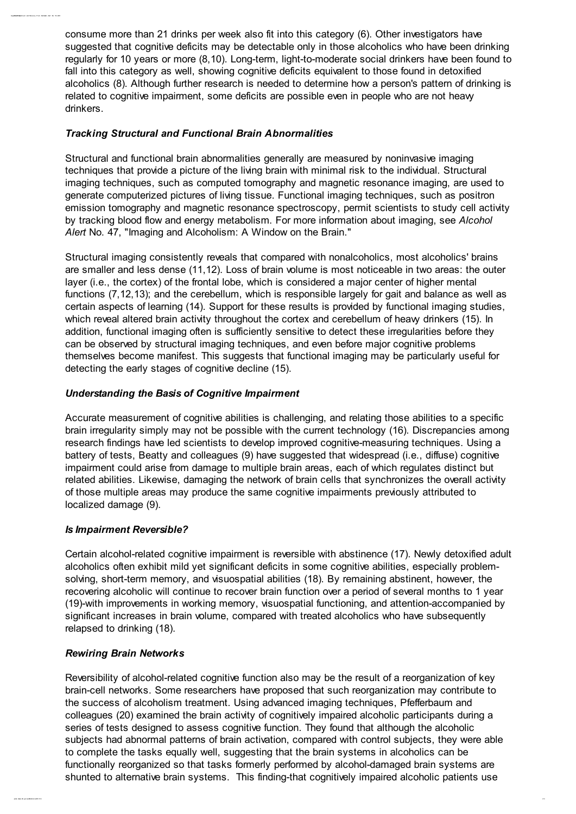consume more than 21 drinks per week also fit into this category (6). Other investigators have suggested that cognitive deficits may be detectable only in those alcoholics who have been drinking regularly for 10 years or more (8,10). Long-term, light-to-moderate social drinkers have been found to fall into this category as well, showing cognitive deficits equivalent to those found in detoxified alcoholics (8). Although further research is needed to determine how a person's pattern of drinking is related to cognitive impairment, some deficits are possible even in people who are not heavy drinkers.

## Tracking Structural and Functional Brain Abnormalities

Cognitionships meet and Recovery From Alcoholism Alert No: 53-2001

Structural and functional brain abnormalities generally are measured by noninvasive imaging techniques that provide a picture of the living brain with minimal risk to the individual. Structural imaging techniques, such as computed tomography and magnetic resonance imaging, are used to generate computerized pictures of living tissue. Functional imaging techniques, such as positron emission tomography and magnetic resonance spectroscopy, permit scientists to study cell activity by tracking blood flow and energy metabolism. For more information about imaging, see Alcohol Alert No. 47, "Imaging and Alcoholism: A Window on the Brain."

Structural imaging consistently reveals that compared with nonalcoholics, most alcoholics' brains are smaller and less dense (11,12). Loss of brain volume is most noticeable in two areas: the outer layer (i.e., the cortex) of the frontal lobe, which is considered a major center of higher mental functions (7,12,13); and the cerebellum, which is responsible largely for gait and balance as well as certain aspects of learning (14). Support for these results is provided by functional imaging studies, which reveal altered brain activity throughout the cortex and cerebellum of heavy drinkers (15). In addition, functional imaging often is sufficiently sensitive to detect these irregularities before they can be observed by structural imaging techniques, and even before major cognitive problems themselves become manifest. This suggests that functional imaging may be particularly useful for detecting the early stages of cognitive decline (15).

## Understanding the Basis of Cognitive Impairment

Accurate measurement of cognitive abilities is challenging, and relating those abilities to a specific brain irregularity simply may not be possible with the current technology (16). Discrepancies among research findings have led scientists to develop improved cognitive-measuring techniques. Using a battery of tests, Beatty and colleagues (9) have suggested that widespread (i.e., diffuse) cognitive impairment could arise from damage to multiple brain areas, each of which regulates distinct but related abilities. Likewise, damaging the network of brain cells that synchronizes the overall activity of those multiple areas may produce the same cognitive impairments previously attributed to localized damage (9).

### Is Impairment Reversible?

Certain alcohol-related cognitive impairment is reversible with abstinence (17). Newly detoxified adult alcoholics often exhibit mild yet significant deficits in some cognitive abilities, especially problemsolving, short-term memory, and visuospatial abilities (18). By remaining abstinent, however, the recovering alcoholic will continue to recover brain function over a period of several months to 1 year (19)-with improvements in working memory, visuospatial functioning, and attention-accompanied by significant increases in brain volume, compared with treated alcoholics who have subsequently relapsed to drinking (18).

### Rewiring Brain Networks

Reversibility of alcohol-related cognitive function also may be the result of a reorganization of key brain-cell networks. Some researchers have proposed that such reorganization may contribute to the success of alcoholism treatment. Using advanced imaging techniques, Pfefferbaum and colleagues (20) examined the brain activity of cognitively impaired alcoholic participants during a series of tests designed to assess cognitive function. They found that although the alcoholic subjects had abnormal patterns of brain activation, compared with control subjects, they were able to complete the tasks equally well, suggesting that the brain systems in alcoholics can be functionally reorganized so that tasks formerly performed by alcohol-damaged brain systems are shunted to alternative brain systems. This finding-that cognitively impaired alcoholic patients use

pubs. niaaa. nih. gov/ publicat ions/ aa53. ht m 2/ 4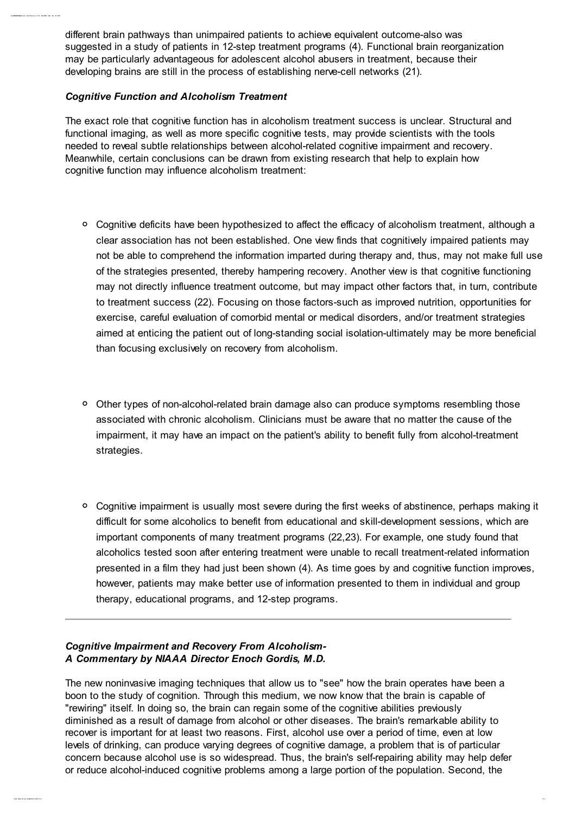different brain pathways than unimpaired patients to achieve equivalent outcome-also was suggested in a study of patients in 12-step treatment programs (4). Functional brain reorganization may be particularly advantageous for adolescent alcohol abusers in treatment, because their developing brains are still in the process of establishing nerve-cell networks (21).

## Cognitive Function and Alcoholism Treatment

Cognitionships meet and Recovery From Alcoholism Alert No: 53-2001

The exact role that cognitive function has in alcoholism treatment success is unclear. Structural and functional imaging, as well as more specific cognitive tests, may provide scientists with the tools needed to reveal subtle relationships between alcohol-related cognitive impairment and recovery. Meanwhile, certain conclusions can be drawn from existing research that help to explain how cognitive function may influence alcoholism treatment:

- Cognitive deficits have been hypothesized to affect the efficacy of alcoholism treatment, although a clear association has not been established. One view finds that cognitively impaired patients may not be able to comprehend the information imparted during therapy and, thus, may not make full use of the strategies presented, thereby hampering recovery. Another view is that cognitive functioning may not directly influence treatment outcome, but may impact other factors that, in turn, contribute to treatment success (22). Focusing on those factors-such as improved nutrition, opportunities for exercise, careful evaluation of comorbid mental or medical disorders, and/or treatment strategies aimed at enticing the patient out of long-standing social isolation-ultimately may be more beneficial than focusing exclusively on recovery from alcoholism.
- <sup>o</sup> Other types of non-alcohol-related brain damage also can produce symptoms resembling those associated with chronic alcoholism. Clinicians must be aware that no matter the cause of the impairment, it may have an impact on the patient's ability to benefit fully from alcohol-treatment strategies.
- <sup>o</sup> Cognitive impairment is usually most severe during the first weeks of abstinence, perhaps making it difficult for some alcoholics to benefit from educational and skill-development sessions, which are important components of many treatment programs (22,23). For example, one study found that alcoholics tested soon after entering treatment were unable to recall treatment-related information presented in a film they had just been shown (4). As time goes by and cognitive function improves, however, patients may make better use of information presented to them in individual and group therapy, educational programs, and 12-step programs.

# Cognitive Impairment and Recovery From Alcoholism-A Commentary by NIAAA Director Enoch Gordis, M.D.

The new noninvasive imaging techniques that allow us to "see" how the brain operates have been a boon to the study of cognition. Through this medium, we now know that the brain is capable of "rewiring" itself. In doing so, the brain can regain some of the cognitive abilities previously diminished as a result of damage from alcohol or other diseases. The brain's remarkable ability to recover is important for at least two reasons. First, alcohol use over a period of time, even at low levels of drinking, can produce varying degrees of cognitive damage, a problem that is of particular concern because alcohol use is so widespread. Thus, the brain's self-repairing ability may help defer or reduce alcohol-induced cognitive problems among a large portion of the population. Second, the

pubs. niaaa. nih. gov/ publicat ions/ aa53. ht m 3/ 4